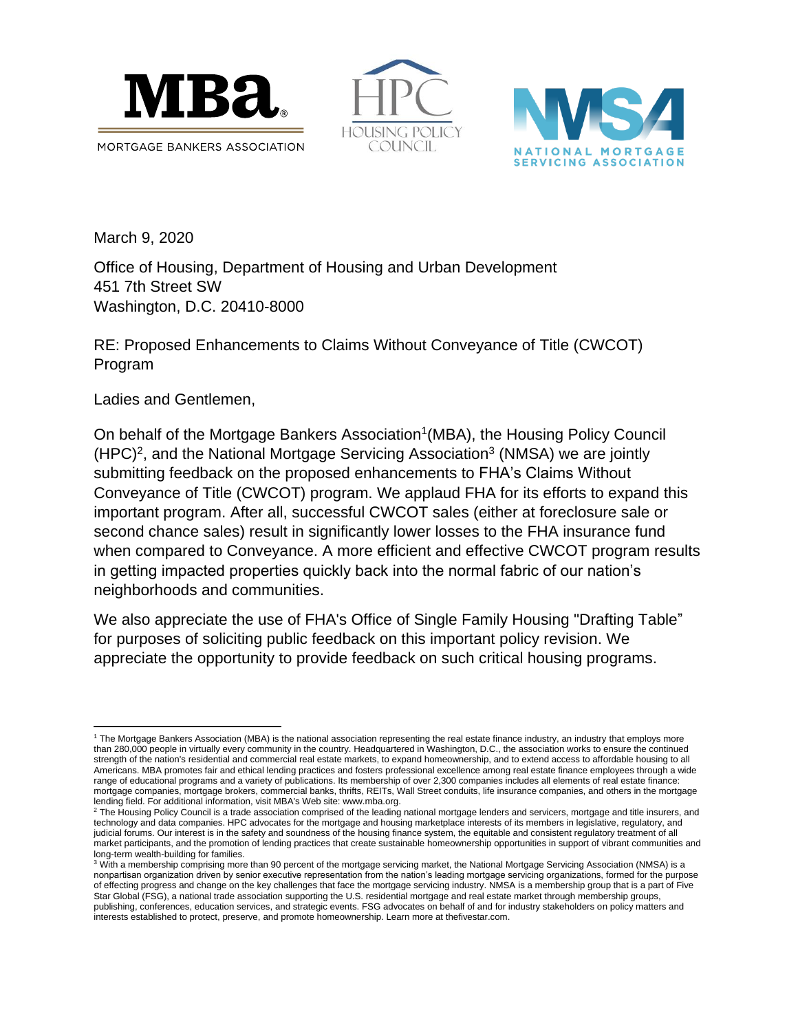





March 9, 2020

Office of Housing, Department of Housing and Urban Development 451 7th Street SW Washington, D.C. 20410-8000

RE: Proposed Enhancements to Claims Without Conveyance of Title (CWCOT) Program

Ladies and Gentlemen,

On behalf of the Mortgage Bankers Association<sup>1</sup> (MBA), the Housing Policy Council  $(HPC)^2$ , and the National Mortgage Servicing Association<sup>3</sup> (NMSA) we are jointly submitting feedback on the proposed enhancements to FHA's Claims Without Conveyance of Title (CWCOT) program. We applaud FHA for its efforts to expand this important program. After all, successful CWCOT sales (either at foreclosure sale or second chance sales) result in significantly lower losses to the FHA insurance fund when compared to Conveyance. A more efficient and effective CWCOT program results in getting impacted properties quickly back into the normal fabric of our nation's neighborhoods and communities.

We also appreciate the use of FHA's Office of Single Family Housing "Drafting Table" for purposes of soliciting public feedback on this important policy revision. We appreciate the opportunity to provide feedback on such critical housing programs.

 $\overline{\phantom{a}}$ <sup>1</sup> The Mortgage Bankers Association (MBA) is the national association representing the real estate finance industry, an industry that employs more than 280,000 people in virtually every community in the country. Headquartered in Washington, D.C., the association works to ensure the continued strength of the nation's residential and commercial real estate markets, to expand homeownership, and to extend access to affordable housing to all Americans. MBA promotes fair and ethical lending practices and fosters professional excellence among real estate finance employees through a wide range of educational programs and a variety of publications. Its membership of over 2,300 companies includes all elements of real estate finance: mortgage companies, mortgage brokers, commercial banks, thrifts, REITs, Wall Street conduits, life insurance companies, and others in the mortgage lending field. For additional information, visit MBA's Web site: www.mba.org.

<sup>&</sup>lt;sup>2</sup> The Housing Policy Council is a trade association comprised of the leading national mortgage lenders and servicers, mortgage and title insurers, and technology and data companies. HPC advocates for the mortgage and housing marketplace interests of its members in legislative, regulatory, and judicial forums. Our interest is in the safety and soundness of the housing finance system, the equitable and consistent regulatory treatment of all market participants, and the promotion of lending practices that create sustainable homeownership opportunities in support of vibrant communities and long-term wealth-building for families.

<sup>&</sup>lt;sup>3</sup> With a membership comprising more than 90 percent of the mortgage servicing market, the National Mortgage Servicing Association (NMSA) is a nonpartisan organization driven by senior executive representation from the nation's leading mortgage servicing organizations, formed for the purpose of effecting progress and change on the key challenges that face the mortgage servicing industry. NMSA is a membership group that is a part of Five Star Global (FSG), a national trade association supporting the U.S. residential mortgage and real estate market through membership groups, publishing, conferences, education services, and strategic events. FSG advocates on behalf of and for industry stakeholders on policy matters and interests established to protect, preserve, and promote homeownership. Learn more at thefivestar.com.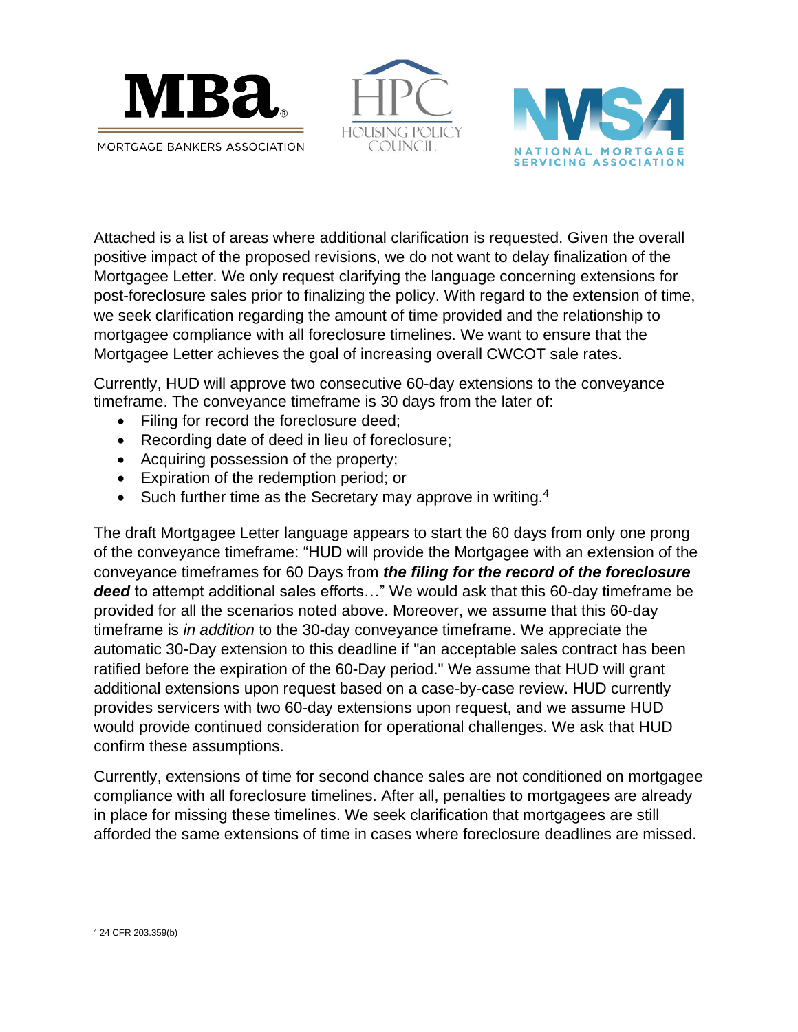





Attached is a list of areas where additional clarification is requested. Given the overall positive impact of the proposed revisions, we do not want to delay finalization of the Mortgagee Letter. We only request clarifying the language concerning extensions for post-foreclosure sales prior to finalizing the policy. With regard to the extension of time, we seek clarification regarding the amount of time provided and the relationship to mortgagee compliance with all foreclosure timelines. We want to ensure that the Mortgagee Letter achieves the goal of increasing overall CWCOT sale rates.

Currently, HUD will approve two consecutive 60-day extensions to the conveyance timeframe. The conveyance timeframe is 30 days from the later of:

- Filing for record the foreclosure deed;
- Recording date of deed in lieu of foreclosure;
- Acquiring possession of the property;
- Expiration of the redemption period; or
- Such further time as the Secretary may approve in writing. $4$

The draft Mortgagee Letter language appears to start the 60 days from only one prong of the conveyance timeframe: "HUD will provide the Mortgagee with an extension of the conveyance timeframes for 60 Days from *the filing for the record of the foreclosure*  deed to attempt additional sales efforts..." We would ask that this 60-day timeframe be provided for all the scenarios noted above. Moreover, we assume that this 60-day timeframe is *in addition* to the 30-day conveyance timeframe. We appreciate the automatic 30-Day extension to this deadline if "an acceptable sales contract has been ratified before the expiration of the 60-Day period." We assume that HUD will grant additional extensions upon request based on a case-by-case review. HUD currently provides servicers with two 60-day extensions upon request, and we assume HUD would provide continued consideration for operational challenges. We ask that HUD confirm these assumptions.

Currently, extensions of time for second chance sales are not conditioned on mortgagee compliance with all foreclosure timelines. After all, penalties to mortgagees are already in place for missing these timelines. We seek clarification that mortgagees are still afforded the same extensions of time in cases where foreclosure deadlines are missed.

 $\overline{a}$ <sup>4</sup> 24 CFR 203.359(b)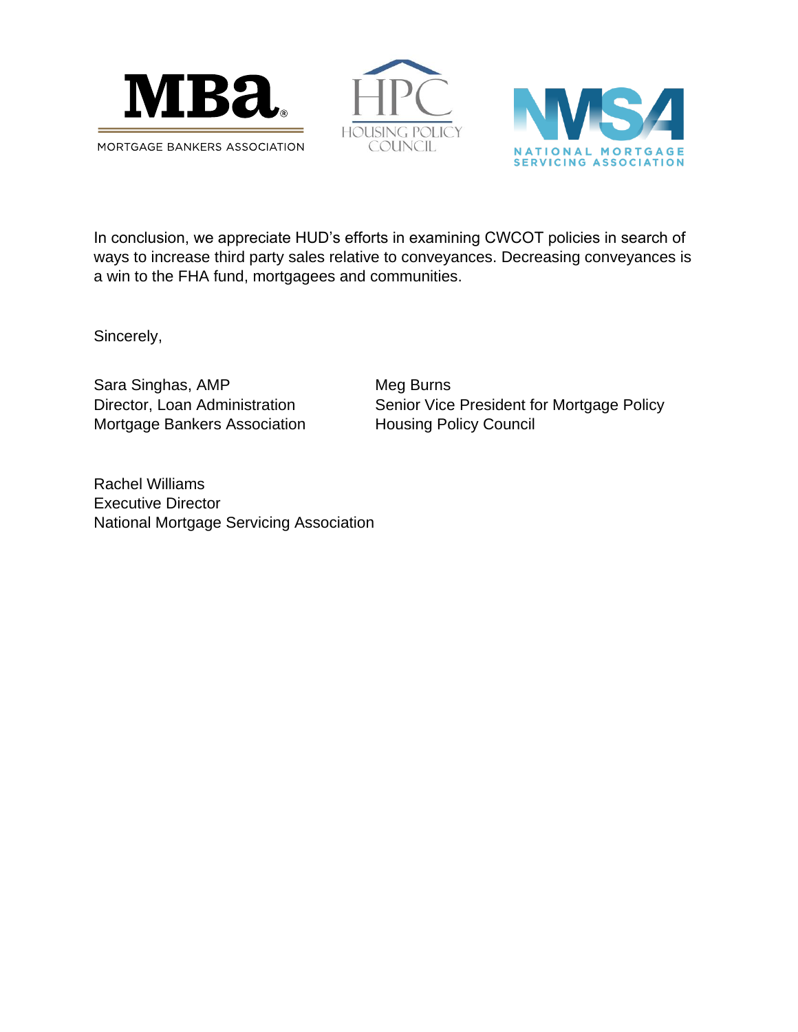





In conclusion, we appreciate HUD's efforts in examining CWCOT policies in search of ways to increase third party sales relative to conveyances. Decreasing conveyances is a win to the FHA fund, mortgagees and communities.

Sincerely,

Sara Singhas, AMP Meg Burns Mortgage Bankers Association Housing Policy Council

Director, Loan Administration Senior Vice President for Mortgage Policy

Rachel Williams Executive Director National Mortgage Servicing Association